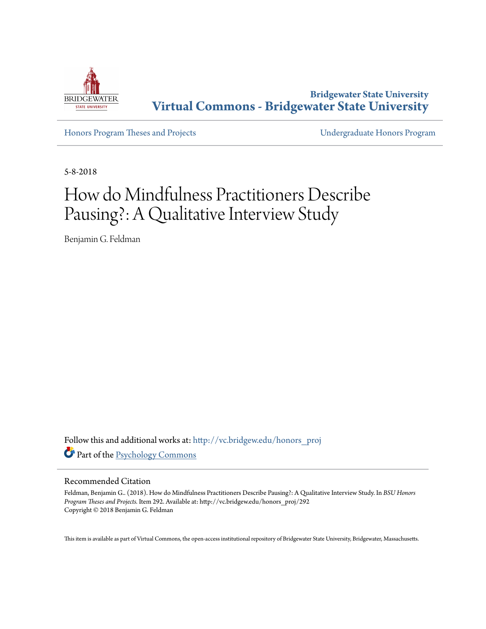

**Bridgewater State University [Virtual Commons - Bridgewater State University](http://vc.bridgew.edu?utm_source=vc.bridgew.edu%2Fhonors_proj%2F292&utm_medium=PDF&utm_campaign=PDFCoverPages)**

[Honors Program Theses and Projects](http://vc.bridgew.edu/honors_proj?utm_source=vc.bridgew.edu%2Fhonors_proj%2F292&utm_medium=PDF&utm_campaign=PDFCoverPages) [Undergraduate Honors Program](http://vc.bridgew.edu/honors?utm_source=vc.bridgew.edu%2Fhonors_proj%2F292&utm_medium=PDF&utm_campaign=PDFCoverPages)

5-8-2018

# How do Mindfulness Practitioners Describe Pausing?: A Qualitative Interview Study

Benjamin G. Feldman

Follow this and additional works at: [http://vc.bridgew.edu/honors\\_proj](http://vc.bridgew.edu/honors_proj?utm_source=vc.bridgew.edu%2Fhonors_proj%2F292&utm_medium=PDF&utm_campaign=PDFCoverPages) Part of the [Psychology Commons](http://network.bepress.com/hgg/discipline/404?utm_source=vc.bridgew.edu%2Fhonors_proj%2F292&utm_medium=PDF&utm_campaign=PDFCoverPages)

#### Recommended Citation

Feldman, Benjamin G.. (2018). How do Mindfulness Practitioners Describe Pausing?: A Qualitative Interview Study. In *BSU Honors Program Theses and Projects.* Item 292. Available at: http://vc.bridgew.edu/honors\_proj/292 Copyright © 2018 Benjamin G. Feldman

This item is available as part of Virtual Commons, the open-access institutional repository of Bridgewater State University, Bridgewater, Massachusetts.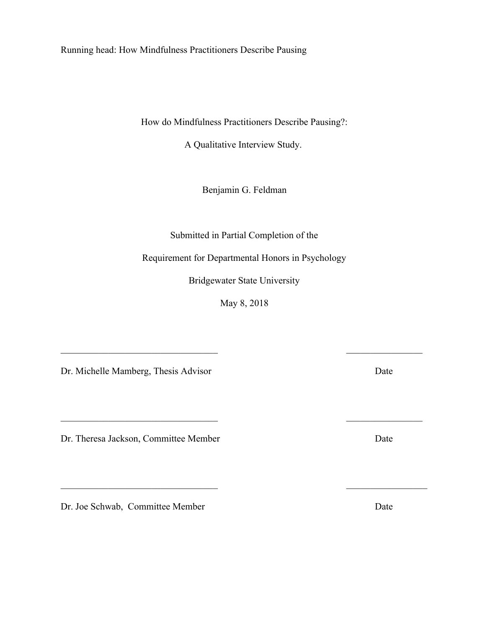Running head: How Mindfulness Practitioners Describe Pausing

How do Mindfulness Practitioners Describe Pausing?:

A Qualitative Interview Study.

Benjamin G. Feldman

Submitted in Partial Completion of the

Requirement for Departmental Honors in Psychology

Bridgewater State University

May 8, 2018

 $\mathcal{L}_\text{max}$  , and the contract of the contract of the contract of the contract of the contract of the contract of the contract of the contract of the contract of the contract of the contract of the contract of the contr

 $\mathcal{L}_\text{max}$  , and the contract of the contract of the contract of the contract of the contract of the contract of the contract of the contract of the contract of the contract of the contract of the contract of the contr

 $\mathcal{L}_\text{max}$  , and the contract of the contract of the contract of the contract of the contract of the contract of the contract of the contract of the contract of the contract of the contract of the contract of the contr

Dr. Michelle Mamberg, Thesis Advisor Date

Dr. Theresa Jackson, Committee Member Date

Dr. Joe Schwab, Committee Member Date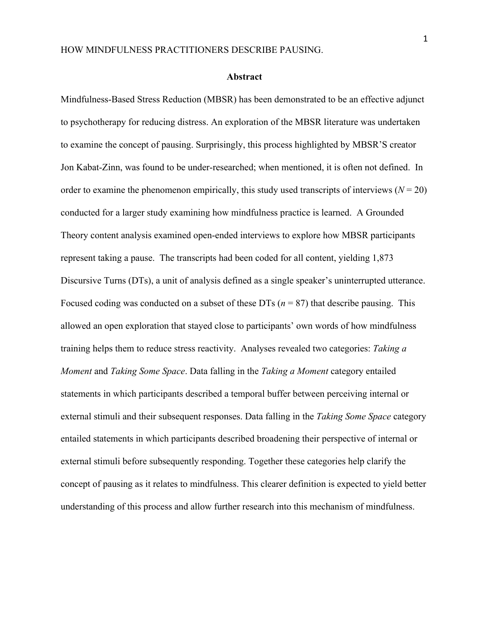#### **Abstract**

Mindfulness-Based Stress Reduction (MBSR) has been demonstrated to be an effective adjunct to psychotherapy for reducing distress. An exploration of the MBSR literature was undertaken to examine the concept of pausing. Surprisingly, this process highlighted by MBSR'S creator Jon Kabat-Zinn, was found to be under-researched; when mentioned, it is often not defined. In order to examine the phenomenon empirically, this study used transcripts of interviews  $(N = 20)$ conducted for a larger study examining how mindfulness practice is learned. A Grounded Theory content analysis examined open-ended interviews to explore how MBSR participants represent taking a pause. The transcripts had been coded for all content, yielding 1,873 Discursive Turns (DTs), a unit of analysis defined as a single speaker's uninterrupted utterance. Focused coding was conducted on a subset of these DTs  $(n = 87)$  that describe pausing. This allowed an open exploration that stayed close to participants' own words of how mindfulness training helps them to reduce stress reactivity. Analyses revealed two categories: *Taking a Moment* and *Taking Some Space*. Data falling in the *Taking a Moment* category entailed statements in which participants described a temporal buffer between perceiving internal or external stimuli and their subsequent responses. Data falling in the *Taking Some Space* category entailed statements in which participants described broadening their perspective of internal or external stimuli before subsequently responding. Together these categories help clarify the concept of pausing as it relates to mindfulness. This clearer definition is expected to yield better understanding of this process and allow further research into this mechanism of mindfulness.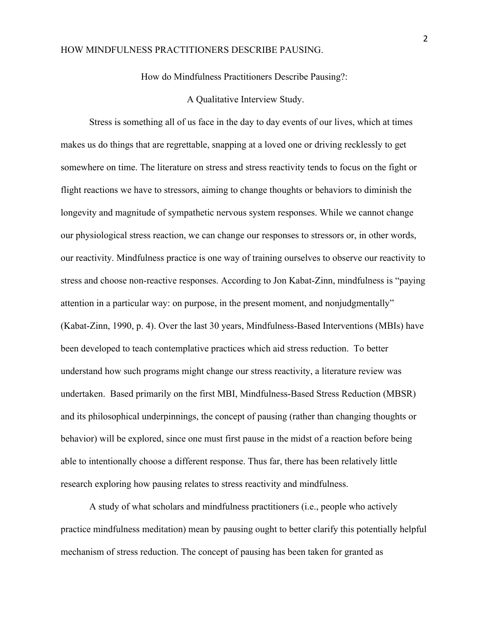How do Mindfulness Practitioners Describe Pausing?:

A Qualitative Interview Study.

Stress is something all of us face in the day to day events of our lives, which at times makes us do things that are regrettable, snapping at a loved one or driving recklessly to get somewhere on time. The literature on stress and stress reactivity tends to focus on the fight or flight reactions we have to stressors, aiming to change thoughts or behaviors to diminish the longevity and magnitude of sympathetic nervous system responses. While we cannot change our physiological stress reaction, we can change our responses to stressors or, in other words, our reactivity. Mindfulness practice is one way of training ourselves to observe our reactivity to stress and choose non-reactive responses. According to Jon Kabat-Zinn, mindfulness is "paying attention in a particular way: on purpose, in the present moment, and nonjudgmentally" (Kabat-Zinn, 1990, p. 4). Over the last 30 years, Mindfulness-Based Interventions (MBIs) have been developed to teach contemplative practices which aid stress reduction. To better understand how such programs might change our stress reactivity, a literature review was undertaken. Based primarily on the first MBI, Mindfulness-Based Stress Reduction (MBSR) and its philosophical underpinnings, the concept of pausing (rather than changing thoughts or behavior) will be explored, since one must first pause in the midst of a reaction before being able to intentionally choose a different response. Thus far, there has been relatively little research exploring how pausing relates to stress reactivity and mindfulness.

A study of what scholars and mindfulness practitioners (i.e., people who actively practice mindfulness meditation) mean by pausing ought to better clarify this potentially helpful mechanism of stress reduction. The concept of pausing has been taken for granted as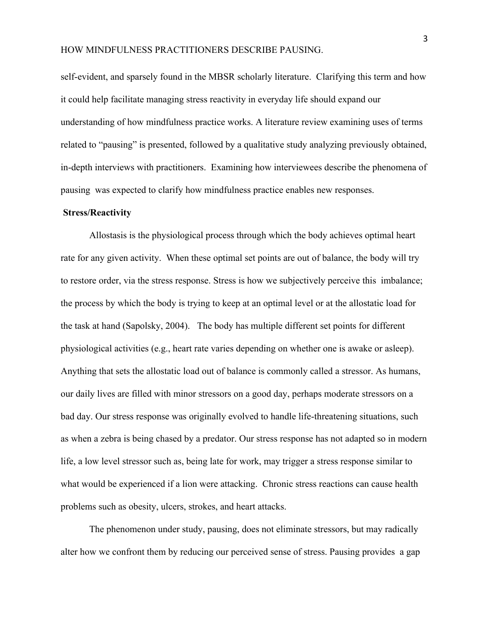self-evident, and sparsely found in the MBSR scholarly literature. Clarifying this term and how it could help facilitate managing stress reactivity in everyday life should expand our understanding of how mindfulness practice works. A literature review examining uses of terms related to "pausing" is presented, followed by a qualitative study analyzing previously obtained, in-depth interviews with practitioners. Examining how interviewees describe the phenomena of pausing was expected to clarify how mindfulness practice enables new responses.

#### **Stress/Reactivity**

Allostasis is the physiological process through which the body achieves optimal heart rate for any given activity. When these optimal set points are out of balance, the body will try to restore order, via the stress response. Stress is how we subjectively perceive this imbalance; the process by which the body is trying to keep at an optimal level or at the allostatic load for the task at hand (Sapolsky, 2004). The body has multiple different set points for different physiological activities (e.g., heart rate varies depending on whether one is awake or asleep). Anything that sets the allostatic load out of balance is commonly called a stressor. As humans, our daily lives are filled with minor stressors on a good day, perhaps moderate stressors on a bad day. Our stress response was originally evolved to handle life-threatening situations, such as when a zebra is being chased by a predator. Our stress response has not adapted so in modern life, a low level stressor such as, being late for work, may trigger a stress response similar to what would be experienced if a lion were attacking. Chronic stress reactions can cause health problems such as obesity, ulcers, strokes, and heart attacks.

The phenomenon under study, pausing, does not eliminate stressors, but may radically alter how we confront them by reducing our perceived sense of stress. Pausing provides a gap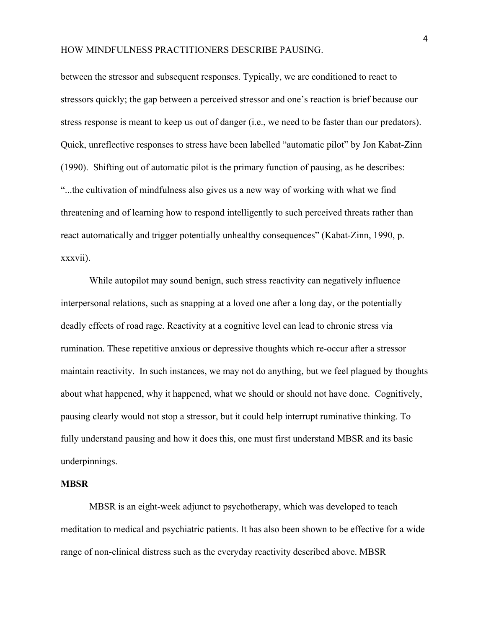between the stressor and subsequent responses. Typically, we are conditioned to react to stressors quickly; the gap between a perceived stressor and one's reaction is brief because our stress response is meant to keep us out of danger (i.e., we need to be faster than our predators). Quick, unreflective responses to stress have been labelled "automatic pilot" by Jon Kabat-Zinn (1990). Shifting out of automatic pilot is the primary function of pausing, as he describes: "...the cultivation of mindfulness also gives us a new way of working with what we find threatening and of learning how to respond intelligently to such perceived threats rather than react automatically and trigger potentially unhealthy consequences" (Kabat-Zinn, 1990, p. xxxvii).

While autopilot may sound benign, such stress reactivity can negatively influence interpersonal relations, such as snapping at a loved one after a long day, or the potentially deadly effects of road rage. Reactivity at a cognitive level can lead to chronic stress via rumination. These repetitive anxious or depressive thoughts which re-occur after a stressor maintain reactivity. In such instances, we may not do anything, but we feel plagued by thoughts about what happened, why it happened, what we should or should not have done. Cognitively, pausing clearly would not stop a stressor, but it could help interrupt ruminative thinking. To fully understand pausing and how it does this, one must first understand MBSR and its basic underpinnings.

#### **MBSR**

MBSR is an eight-week adjunct to psychotherapy, which was developed to teach meditation to medical and psychiatric patients. It has also been shown to be effective for a wide range of non-clinical distress such as the everyday reactivity described above. MBSR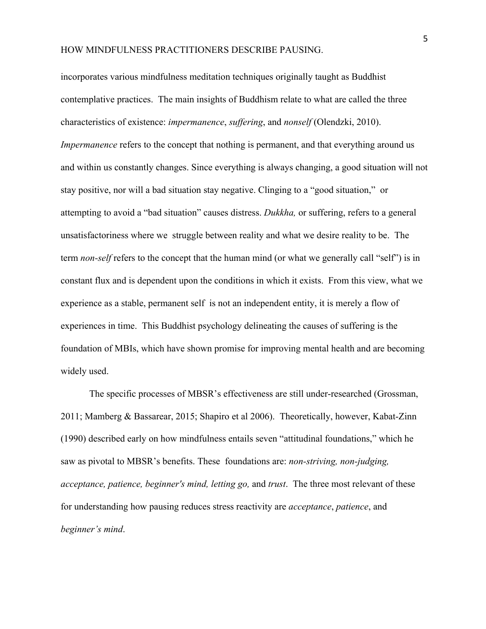incorporates various mindfulness meditation techniques originally taught as Buddhist contemplative practices. The main insights of Buddhism relate to what are called the three characteristics of existence: *impermanence*, *suffering*, and *nonself* (Olendzki, 2010). *Impermanence* refers to the concept that nothing is permanent, and that everything around us and within us constantly changes. Since everything is always changing, a good situation will not stay positive, nor will a bad situation stay negative. Clinging to a "good situation," or attempting to avoid a "bad situation" causes distress. *Dukkha,* or suffering, refers to a general unsatisfactoriness where we struggle between reality and what we desire reality to be. The term *non-self* refers to the concept that the human mind (or what we generally call "self") is in constant flux and is dependent upon the conditions in which it exists. From this view, what we experience as a stable, permanent self is not an independent entity, it is merely a flow of experiences in time. This Buddhist psychology delineating the causes of suffering is the foundation of MBIs, which have shown promise for improving mental health and are becoming widely used.

The specific processes of MBSR's effectiveness are still under-researched (Grossman, 2011; Mamberg & Bassarear, 2015; Shapiro et al 2006). Theoretically, however, Kabat-Zinn (1990) described early on how mindfulness entails seven "attitudinal foundations," which he saw as pivotal to MBSR's benefits. These foundations are: *non-striving, non-judging, acceptance, patience, beginner's mind, letting go,* and *trust*. The three most relevant of these for understanding how pausing reduces stress reactivity are *acceptance*, *patience*, and *beginner's mind*.

5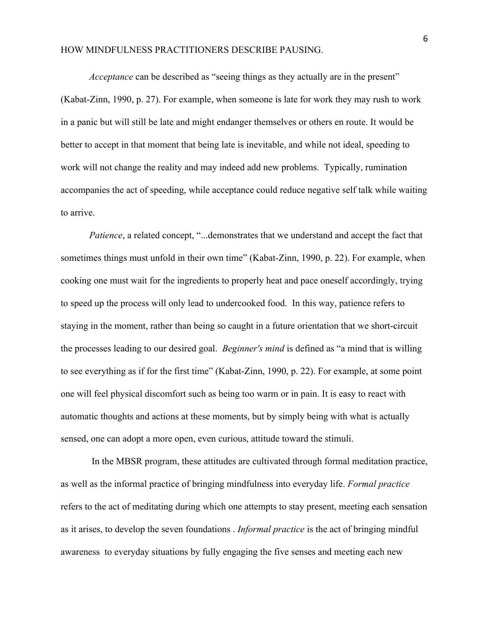*Acceptance* can be described as "seeing things as they actually are in the present" (Kabat-Zinn, 1990, p. 27). For example, when someone is late for work they may rush to work in a panic but will still be late and might endanger themselves or others en route. It would be better to accept in that moment that being late is inevitable, and while not ideal, speeding to work will not change the reality and may indeed add new problems. Typically, rumination accompanies the act of speeding, while acceptance could reduce negative self talk while waiting to arrive.

*Patience*, a related concept, "...demonstrates that we understand and accept the fact that sometimes things must unfold in their own time" (Kabat-Zinn, 1990, p. 22). For example, when cooking one must wait for the ingredients to properly heat and pace oneself accordingly, trying to speed up the process will only lead to undercooked food. In this way, patience refers to staying in the moment, rather than being so caught in a future orientation that we short-circuit the processes leading to our desired goal. *Beginner's mind* is defined as "a mind that is willing to see everything as if for the first time" (Kabat-Zinn, 1990, p. 22). For example, at some point one will feel physical discomfort such as being too warm or in pain. It is easy to react with automatic thoughts and actions at these moments, but by simply being with what is actually sensed, one can adopt a more open, even curious, attitude toward the stimuli.

 In the MBSR program, these attitudes are cultivated through formal meditation practice, as well as the informal practice of bringing mindfulness into everyday life. *Formal practice* refers to the act of meditating during which one attempts to stay present, meeting each sensation as it arises, to develop the seven foundations . *Informal practice* is the act of bringing mindful awareness to everyday situations by fully engaging the five senses and meeting each new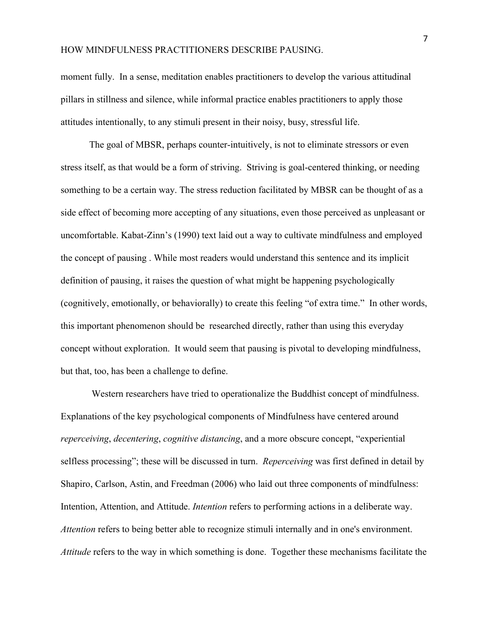moment fully. In a sense, meditation enables practitioners to develop the various attitudinal pillars in stillness and silence, while informal practice enables practitioners to apply those attitudes intentionally, to any stimuli present in their noisy, busy, stressful life.

The goal of MBSR, perhaps counter-intuitively, is not to eliminate stressors or even stress itself, as that would be a form of striving. Striving is goal-centered thinking, or needing something to be a certain way. The stress reduction facilitated by MBSR can be thought of as a side effect of becoming more accepting of any situations, even those perceived as unpleasant or uncomfortable. Kabat-Zinn's (1990) text laid out a way to cultivate mindfulness and employed the concept of pausing . While most readers would understand this sentence and its implicit definition of pausing, it raises the question of what might be happening psychologically (cognitively, emotionally, or behaviorally) to create this feeling "of extra time." In other words, this important phenomenon should be researched directly, rather than using this everyday concept without exploration. It would seem that pausing is pivotal to developing mindfulness, but that, too, has been a challenge to define.

 Western researchers have tried to operationalize the Buddhist concept of mindfulness. Explanations of the key psychological components of Mindfulness have centered around *reperceiving*, *decentering*, *cognitive distancing*, and a more obscure concept, "experiential selfless processing"; these will be discussed in turn. *Reperceiving* was first defined in detail by Shapiro, Carlson, Astin, and Freedman (2006) who laid out three components of mindfulness: Intention, Attention, and Attitude. *Intention* refers to performing actions in a deliberate way. *Attention* refers to being better able to recognize stimuli internally and in one's environment. *Attitude* refers to the way in which something is done. Together these mechanisms facilitate the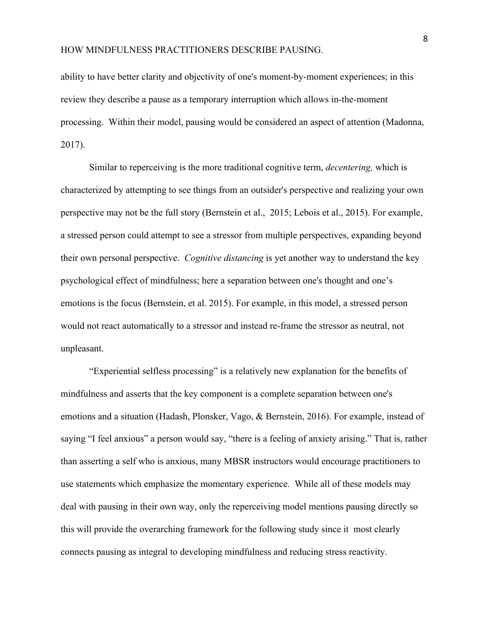ability to have better clarity and objectivity of one's moment-by-moment experiences; in this review they describe a pause as a temporary interruption which allows in-the-moment processing. Within their model, pausing would be considered an aspect of attention (Madonna, 2017).

Similar to reperceiving is the more traditional cognitive term, *decentering,* which is characterized by attempting to see things from an outsider's perspective and realizing your own perspective may not be the full story (Bernstein et al., 2015; Lebois et al., 2015). For example, a stressed person could attempt to see a stressor from multiple perspectives, expanding beyond their own personal perspective. *Cognitive distancing* is yet another way to understand the key psychological effect of mindfulness; here a separation between one's thought and one's emotions is the focus (Bernstein, et al. 2015). For example, in this model, a stressed person would not react automatically to a stressor and instead re-frame the stressor as neutral, not unpleasant.

"Experiential selfless processing" is a relatively new explanation for the benefits of mindfulness and asserts that the key component is a complete separation between one's emotions and a situation (Hadash, Plonsker, Vago, & Bernstein, 2016). For example, instead of saying "I feel anxious" a person would say, "there is a feeling of anxiety arising." That is, rather than asserting a self who is anxious, many MBSR instructors would encourage practitioners to use statements which emphasize the momentary experience. While all of these models may deal with pausing in their own way, only the reperceiving model mentions pausing directly so this will provide the overarching framework for the following study since it most clearly connects pausing as integral to developing mindfulness and reducing stress reactivity.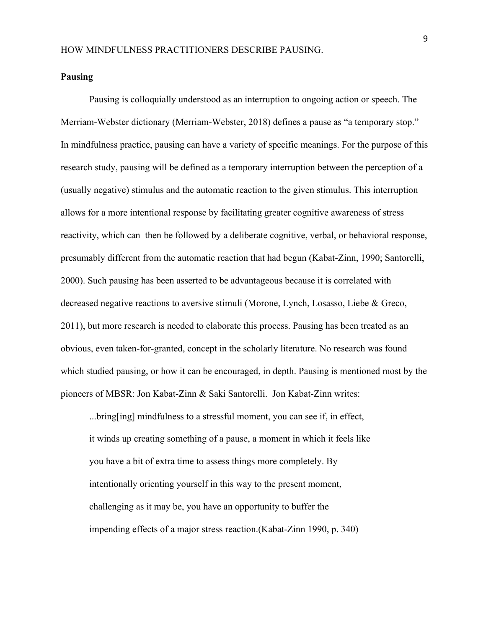#### **Pausing**

Pausing is colloquially understood as an interruption to ongoing action or speech. The Merriam-Webster dictionary (Merriam-Webster, 2018) defines a pause as "a temporary stop." In mindfulness practice, pausing can have a variety of specific meanings. For the purpose of this research study, pausing will be defined as a temporary interruption between the perception of a (usually negative) stimulus and the automatic reaction to the given stimulus. This interruption allows for a more intentional response by facilitating greater cognitive awareness of stress reactivity, which can then be followed by a deliberate cognitive, verbal, or behavioral response, presumably different from the automatic reaction that had begun (Kabat-Zinn, 1990; Santorelli, 2000). Such pausing has been asserted to be advantageous because it is correlated with decreased negative reactions to aversive stimuli (Morone, Lynch, Losasso, Liebe & Greco, 2011), but more research is needed to elaborate this process. Pausing has been treated as an obvious, even taken-for-granted, concept in the scholarly literature. No research was found which studied pausing, or how it can be encouraged, in depth. Pausing is mentioned most by the pioneers of MBSR: Jon Kabat-Zinn & Saki Santorelli. Jon Kabat-Zinn writes:

...bring[ing] mindfulness to a stressful moment, you can see if, in effect, it winds up creating something of a pause, a moment in which it feels like you have a bit of extra time to assess things more completely. By intentionally orienting yourself in this way to the present moment, challenging as it may be, you have an opportunity to buffer the impending effects of a major stress reaction.(Kabat-Zinn 1990, p. 340)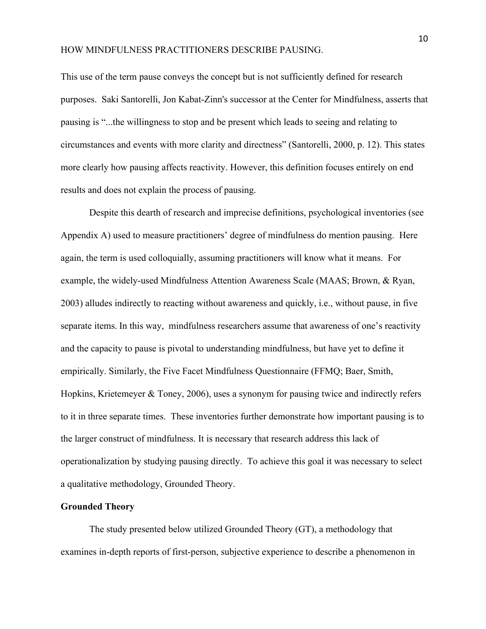This use of the term pause conveys the concept but is not sufficiently defined for research purposes. Saki Santorelli, Jon Kabat-Zinn's successor at the Center for Mindfulness, asserts that pausing is "...the willingness to stop and be present which leads to seeing and relating to circumstances and events with more clarity and directness" (Santorelli, 2000, p. 12). This states more clearly how pausing affects reactivity. However, this definition focuses entirely on end results and does not explain the process of pausing.

Despite this dearth of research and imprecise definitions, psychological inventories (see Appendix A) used to measure practitioners' degree of mindfulness do mention pausing. Here again, the term is used colloquially, assuming practitioners will know what it means. For example, the widely-used Mindfulness Attention Awareness Scale (MAAS; Brown, & Ryan, 2003) alludes indirectly to reacting without awareness and quickly, i.e., without pause, in five separate items. In this way, mindfulness researchers assume that awareness of one's reactivity and the capacity to pause is pivotal to understanding mindfulness, but have yet to define it empirically. Similarly, the Five Facet Mindfulness Questionnaire (FFMQ; Baer, Smith, Hopkins, Krietemeyer & Toney, 2006), uses a synonym for pausing twice and indirectly refers to it in three separate times. These inventories further demonstrate how important pausing is to the larger construct of mindfulness. It is necessary that research address this lack of operationalization by studying pausing directly. To achieve this goal it was necessary to select a qualitative methodology, Grounded Theory.

## **Grounded Theory**

The study presented below utilized Grounded Theory (GT), a methodology that examines in-depth reports of first-person, subjective experience to describe a phenomenon in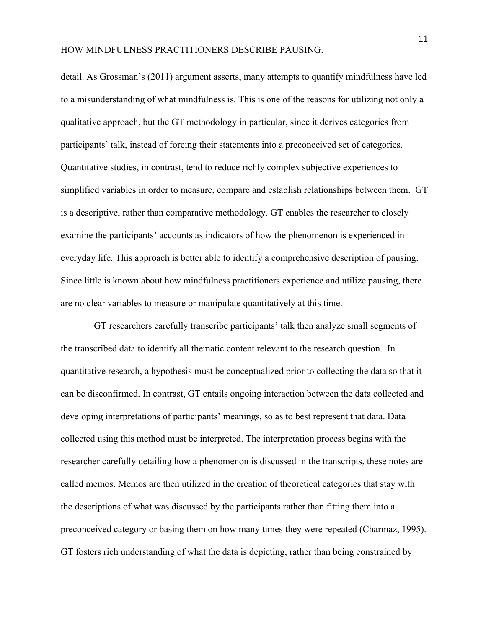detail. As Grossman's (2011) argument asserts, many attempts to quantify mindfulness have led to a misunderstanding of what mindfulness is. This is one of the reasons for utilizing not only a qualitative approach, but the GT methodology in particular, since it derives categories from participants' talk, instead of forcing their statements into a preconceived set of categories. Quantitative studies, in contrast, tend to reduce richly complex subjective experiences to simplified variables in order to measure, compare and establish relationships between them. GT is a descriptive, rather than comparative methodology. GT enables the researcher to closely examine the participants' accounts as indicators of how the phenomenon is experienced in everyday life. This approach is better able to identify a comprehensive description of pausing. Since little is known about how mindfulness practitioners experience and utilize pausing, there are no clear variables to measure or manipulate quantitatively at this time.

 GT researchers carefully transcribe participants' talk then analyze small segments of the transcribed data to identify all thematic content relevant to the research question. In quantitative research, a hypothesis must be conceptualized prior to collecting the data so that it can be disconfirmed. In contrast, GT entails ongoing interaction between the data collected and developing interpretations of participants' meanings, so as to best represent that data. Data collected using this method must be interpreted. The interpretation process begins with the researcher carefully detailing how a phenomenon is discussed in the transcripts, these notes are called memos. Memos are then utilized in the creation of theoretical categories that stay with the descriptions of what was discussed by the participants rather than fitting them into a preconceived category or basing them on how many times they were repeated (Charmaz, 1995). GT fosters rich understanding of what the data is depicting, rather than being constrained by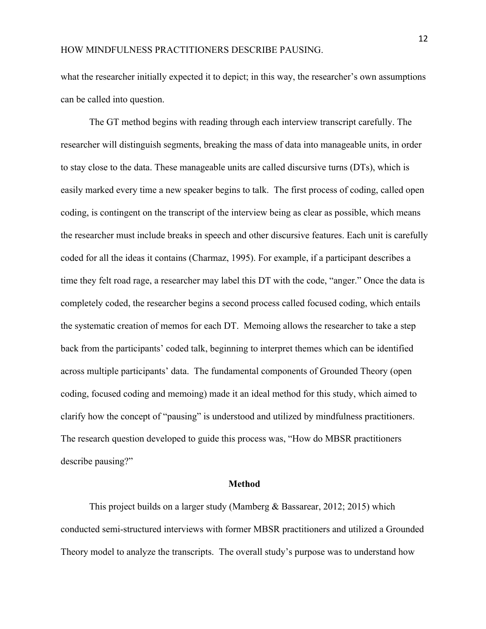what the researcher initially expected it to depict; in this way, the researcher's own assumptions can be called into question.

The GT method begins with reading through each interview transcript carefully. The researcher will distinguish segments, breaking the mass of data into manageable units, in order to stay close to the data. These manageable units are called discursive turns (DTs), which is easily marked every time a new speaker begins to talk. The first process of coding, called open coding, is contingent on the transcript of the interview being as clear as possible, which means the researcher must include breaks in speech and other discursive features. Each unit is carefully coded for all the ideas it contains (Charmaz, 1995). For example, if a participant describes a time they felt road rage, a researcher may label this DT with the code, "anger." Once the data is completely coded, the researcher begins a second process called focused coding, which entails the systematic creation of memos for each DT. Memoing allows the researcher to take a step back from the participants' coded talk, beginning to interpret themes which can be identified across multiple participants' data. The fundamental components of Grounded Theory (open coding, focused coding and memoing) made it an ideal method for this study, which aimed to clarify how the concept of "pausing" is understood and utilized by mindfulness practitioners. The research question developed to guide this process was, "How do MBSR practitioners describe pausing?"

#### **Method**

This project builds on a larger study (Mamberg & Bassarear, 2012; 2015) which conducted semi-structured interviews with former MBSR practitioners and utilized a Grounded Theory model to analyze the transcripts. The overall study's purpose was to understand how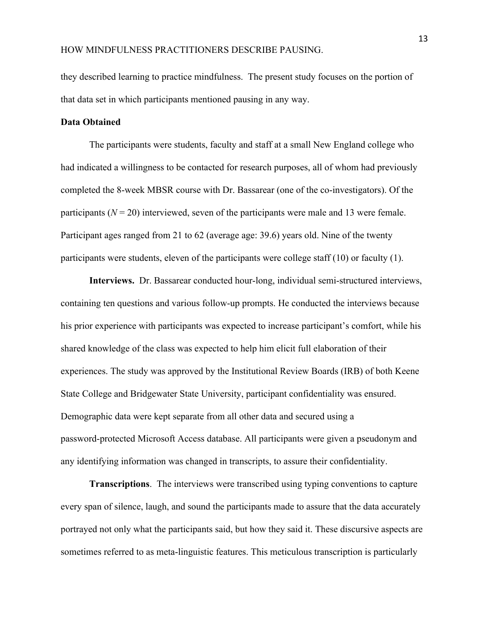they described learning to practice mindfulness. The present study focuses on the portion of that data set in which participants mentioned pausing in any way.

#### **Data Obtained**

The participants were students, faculty and staff at a small New England college who had indicated a willingness to be contacted for research purposes, all of whom had previously completed the 8-week MBSR course with Dr. Bassarear (one of the co-investigators). Of the participants  $(N = 20)$  interviewed, seven of the participants were male and 13 were female. Participant ages ranged from 21 to 62 (average age: 39.6) years old. Nine of the twenty participants were students, eleven of the participants were college staff (10) or faculty (1).

**Interviews.** Dr. Bassarear conducted hour-long, individual semi-structured interviews, containing ten questions and various follow-up prompts. He conducted the interviews because his prior experience with participants was expected to increase participant's comfort, while his shared knowledge of the class was expected to help him elicit full elaboration of their experiences. The study was approved by the Institutional Review Boards (IRB) of both Keene State College and Bridgewater State University, participant confidentiality was ensured. Demographic data were kept separate from all other data and secured using a password-protected Microsoft Access database. All participants were given a pseudonym and any identifying information was changed in transcripts, to assure their confidentiality.

**Transcriptions**. The interviews were transcribed using typing conventions to capture every span of silence, laugh, and sound the participants made to assure that the data accurately portrayed not only what the participants said, but how they said it. These discursive aspects are sometimes referred to as meta-linguistic features. This meticulous transcription is particularly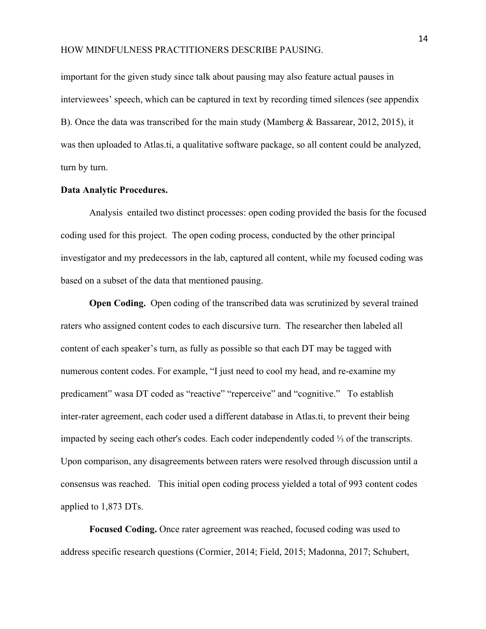important for the given study since talk about pausing may also feature actual pauses in interviewees' speech, which can be captured in text by recording timed silences (see appendix B). Once the data was transcribed for the main study (Mamberg & Bassarear, 2012, 2015), it was then uploaded to Atlas.ti, a qualitative software package, so all content could be analyzed, turn by turn.

#### **Data Analytic Procedures.**

Analysis entailed two distinct processes: open coding provided the basis for the focused coding used for this project. The open coding process, conducted by the other principal investigator and my predecessors in the lab, captured all content, while my focused coding was based on a subset of the data that mentioned pausing.

**Open Coding.** Open coding of the transcribed data was scrutinized by several trained raters who assigned content codes to each discursive turn. The researcher then labeled all content of each speaker's turn, as fully as possible so that each DT may be tagged with numerous content codes. For example, "I just need to cool my head, and re-examine my predicament" wasa DT coded as "reactive" "reperceive" and "cognitive." To establish inter-rater agreement, each coder used a different database in Atlas.ti, to prevent their being impacted by seeing each other's codes. Each coder independently coded ⅓ of the transcripts. Upon comparison, any disagreements between raters were resolved through discussion until a consensus was reached. This initial open coding process yielded a total of 993 content codes applied to 1,873 DTs.

**Focused Coding.** Once rater agreement was reached, focused coding was used to address specific research questions (Cormier, 2014; Field, 2015; Madonna, 2017; Schubert,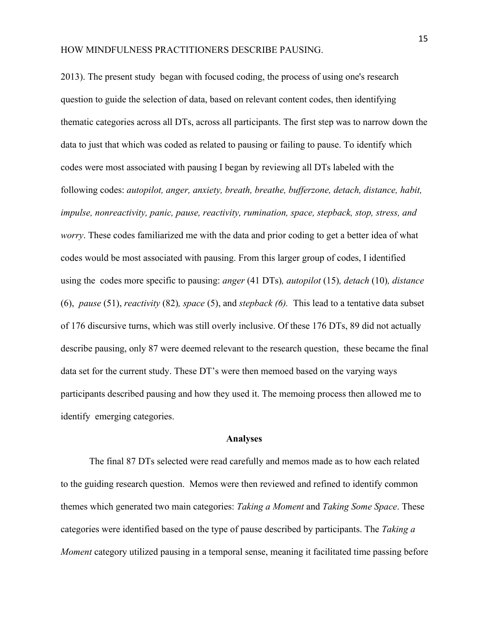2013). The present study began with focused coding, the process of using one's research question to guide the selection of data, based on relevant content codes, then identifying thematic categories across all DTs, across all participants. The first step was to narrow down the data to just that which was coded as related to pausing or failing to pause. To identify which codes were most associated with pausing I began by reviewing all DTs labeled with the following codes: *autopilot, anger, anxiety, breath, breathe, bufferzone, detach, distance, habit, impulse, nonreactivity, panic, pause, reactivity, rumination, space, stepback, stop, stress, and worry*. These codes familiarized me with the data and prior coding to get a better idea of what codes would be most associated with pausing. From this larger group of codes, I identified using the codes more specific to pausing: *anger* (41 DTs)*, autopilot* (15)*, detach* (10)*, distance* (6), *pause* (51), *reactivity* (82)*, space* (5), and *stepback (6).* This lead to a tentative data subset of 176 discursive turns, which was still overly inclusive. Of these 176 DTs, 89 did not actually describe pausing, only 87 were deemed relevant to the research question, these became the final data set for the current study. These DT's were then memoed based on the varying ways participants described pausing and how they used it. The memoing process then allowed me to identify emerging categories.

#### **Analyses**

The final 87 DTs selected were read carefully and memos made as to how each related to the guiding research question. Memos were then reviewed and refined to identify common themes which generated two main categories: *Taking a Moment* and *Taking Some Space*. These categories were identified based on the type of pause described by participants. The *Taking a Moment* category utilized pausing in a temporal sense, meaning it facilitated time passing before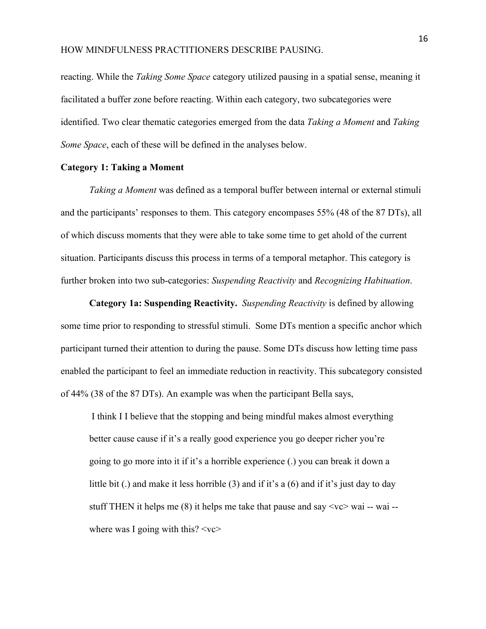reacting. While the *Taking Some Space* category utilized pausing in a spatial sense, meaning it facilitated a buffer zone before reacting. Within each category, two subcategories were identified. Two clear thematic categories emerged from the data *Taking a Moment* and *Taking Some Space*, each of these will be defined in the analyses below.

#### **Category 1: Taking a Moment**

*Taking a Moment* was defined as a temporal buffer between internal or external stimuli and the participants' responses to them. This category encompases 55% (48 of the 87 DTs), all of which discuss moments that they were able to take some time to get ahold of the current situation. Participants discuss this process in terms of a temporal metaphor. This category is further broken into two sub-categories: *Suspending Reactivity* and *Recognizing Habituation*.

**Category 1a: Suspending Reactivity.**  *Suspending Reactivity* is defined by allowing some time prior to responding to stressful stimuli. Some DTs mention a specific anchor which participant turned their attention to during the pause. Some DTs discuss how letting time pass enabled the participant to feel an immediate reduction in reactivity. This subcategory consisted of 44% (38 of the 87 DTs). An example was when the participant Bella says,

 I think I I believe that the stopping and being mindful makes almost everything better cause cause if it's a really good experience you go deeper richer you're going to go more into it if it's a horrible experience (.) you can break it down a little bit (.) and make it less horrible (3) and if it's a (6) and if it's just day to day stuff THEN it helps me  $(8)$  it helps me take that pause and say  $\langle$ vc $\rangle$  wai -- wai -where was I going with this?  $\langle v \rangle$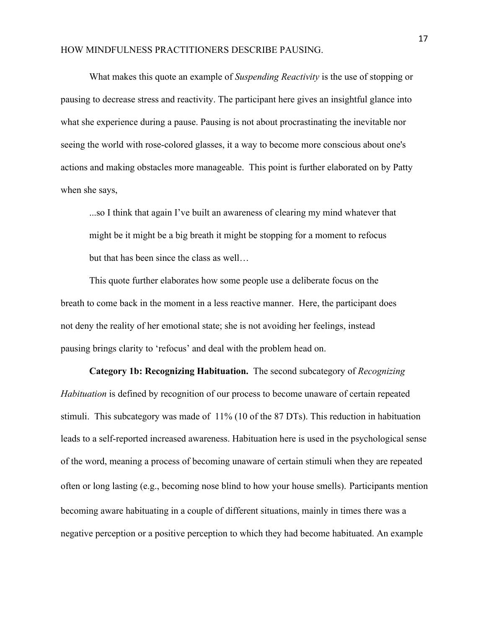What makes this quote an example of *Suspending Reactivity* is the use of stopping or pausing to decrease stress and reactivity. The participant here gives an insightful glance into what she experience during a pause. Pausing is not about procrastinating the inevitable nor seeing the world with rose-colored glasses, it a way to become more conscious about one's actions and making obstacles more manageable. This point is further elaborated on by Patty when she says,

...so I think that again I've built an awareness of clearing my mind whatever that might be it might be a big breath it might be stopping for a moment to refocus but that has been since the class as well…

This quote further elaborates how some people use a deliberate focus on the breath to come back in the moment in a less reactive manner. Here, the participant does not deny the reality of her emotional state; she is not avoiding her feelings, instead pausing brings clarity to 'refocus' and deal with the problem head on.

**Category 1b: Recognizing Habituation.**The second subcategory of *Recognizing Habituation* is defined by recognition of our process to become unaware of certain repeated stimuli. This subcategory was made of 11% (10 of the 87 DTs). This reduction in habituation leads to a self-reported increased awareness. Habituation here is used in the psychological sense of the word, meaning a process of becoming unaware of certain stimuli when they are repeated often or long lasting (e.g., becoming nose blind to how your house smells). Participants mention becoming aware habituating in a couple of different situations, mainly in times there was a negative perception or a positive perception to which they had become habituated. An example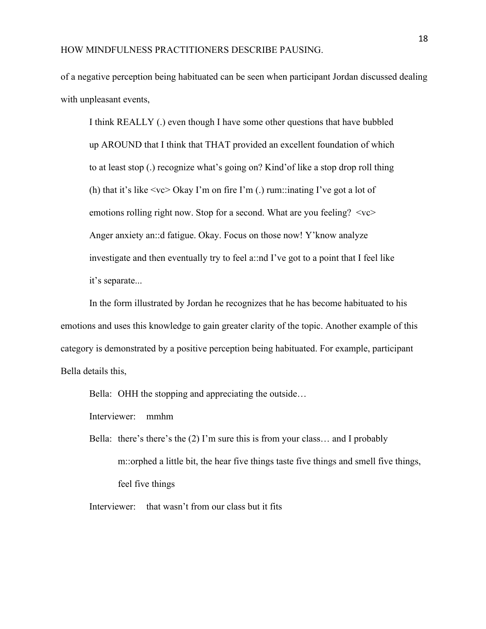of a negative perception being habituated can be seen when participant Jordan discussed dealing with unpleasant events,

I think REALLY (.) even though I have some other questions that have bubbled up AROUND that I think that THAT provided an excellent foundation of which to at least stop (.) recognize what's going on? Kind'of like a stop drop roll thing (h) that it's like  $\langle v \rangle$  Okay I'm on fire I'm (.) rum::inating I've got a lot of emotions rolling right now. Stop for a second. What are you feeling?  $\langle v \rangle$ Anger anxiety an::d fatigue. Okay. Focus on those now! Y'know analyze investigate and then eventually try to feel a::nd I've got to a point that I feel like it's separate...

In the form illustrated by Jordan he recognizes that he has become habituated to his emotions and uses this knowledge to gain greater clarity of the topic. Another example of this category is demonstrated by a positive perception being habituated. For example, participant Bella details this,

Bella: OHH the stopping and appreciating the outside...

Interviewer: mmhm

Bella: there's there's the (2) I'm sure this is from your class… and I probably m::orphed a little bit, the hear five things taste five things and smell five things, feel five things

Interviewer: that wasn't from our class but it fits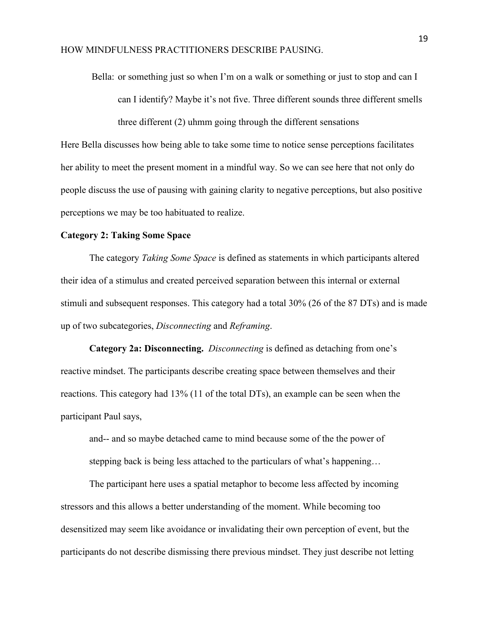Bella: or something just so when I'm on a walk or something or just to stop and can I can I identify? Maybe it's not five. Three different sounds three different smells three different (2) uhmm going through the different sensations Here Bella discusses how being able to take some time to notice sense perceptions facilitates

her ability to meet the present moment in a mindful way. So we can see here that not only do people discuss the use of pausing with gaining clarity to negative perceptions, but also positive perceptions we may be too habituated to realize.

#### **Category 2: Taking Some Space**

The category *Taking Some Space* is defined as statements in which participants altered their idea of a stimulus and created perceived separation between this internal or external stimuli and subsequent responses. This category had a total 30% (26 of the 87 DTs) and is made up of two subcategories, *Disconnecting* and *Reframing*.

**Category 2a: Disconnecting.** *Disconnecting* is defined as detaching from one's reactive mindset. The participants describe creating space between themselves and their reactions. This category had 13% (11 of the total DTs), an example can be seen when the participant Paul says,

and-- and so maybe detached came to mind because some of the the power of stepping back is being less attached to the particulars of what's happening…

The participant here uses a spatial metaphor to become less affected by incoming stressors and this allows a better understanding of the moment. While becoming too desensitized may seem like avoidance or invalidating their own perception of event, but the participants do not describe dismissing there previous mindset. They just describe not letting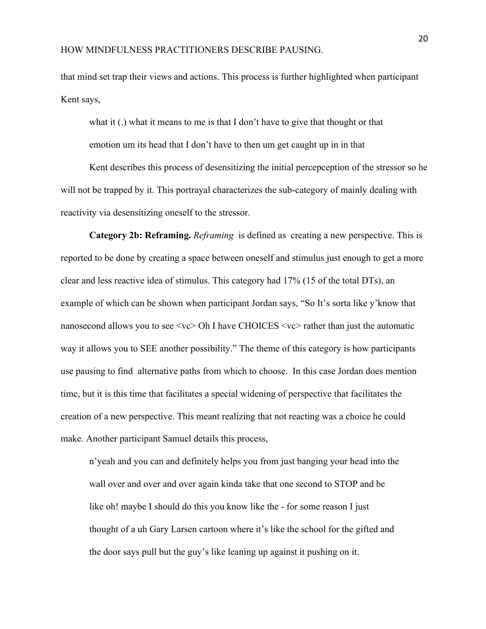that mind set trap their views and actions. This process is further highlighted when participant Kent says,

what it (.) what it means to me is that I don't have to give that thought or that emotion um its head that I don't have to then um get caught up in in that

Kent describes this process of desensitizing the initial percepception of the stressor so he will not be trapped by it. This portrayal characterizes the sub-category of mainly dealing with reactivity via desensitizing oneself to the stressor.

**Category 2b: Reframing.** *Reframing* is defined as creating a new perspective. This is reported to be done by creating a space between oneself and stimulus just enough to get a more clear and less reactive idea of stimulus. This category had 17% (15 of the total DTs), an example of which can be shown when participant Jordan says, "So It's sorta like y'know that nanosecond allows you to see  $\langle v \rangle$  Oh I have CHOICES  $\langle v \rangle$  rather than just the automatic way it allows you to SEE another possibility." The theme of this category is how participants use pausing to find alternative paths from which to choose. In this case Jordan does mention time, but it is this time that facilitates a special widening of perspective that facilitates the creation of a new perspective. This meant realizing that not reacting was a choice he could make. Another participant Samuel details this process,

n'yeah and you can and definitely helps you from just banging your head into the wall over and over and over again kinda take that one second to STOP and be like oh! maybe I should do this you know like the - for some reason I just thought of a uh Gary Larsen cartoon where it's like the school for the gifted and the door says pull but the guy's like leaning up against it pushing on it.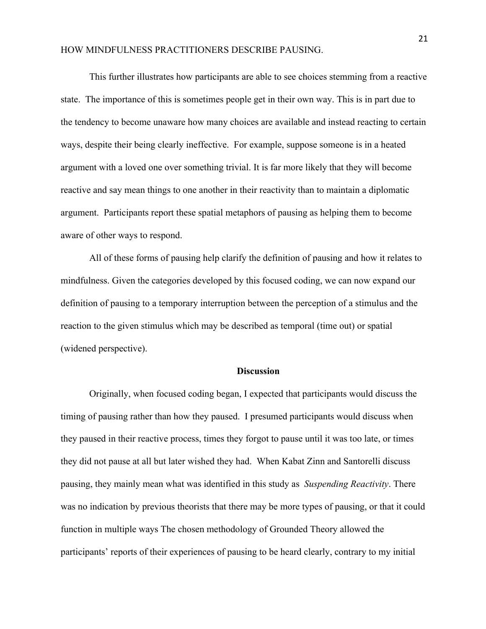This further illustrates how participants are able to see choices stemming from a reactive state. The importance of this is sometimes people get in their own way. This is in part due to the tendency to become unaware how many choices are available and instead reacting to certain ways, despite their being clearly ineffective. For example, suppose someone is in a heated argument with a loved one over something trivial. It is far more likely that they will become reactive and say mean things to one another in their reactivity than to maintain a diplomatic argument. Participants report these spatial metaphors of pausing as helping them to become aware of other ways to respond.

All of these forms of pausing help clarify the definition of pausing and how it relates to mindfulness. Given the categories developed by this focused coding, we can now expand our definition of pausing to a temporary interruption between the perception of a stimulus and the reaction to the given stimulus which may be described as temporal (time out) or spatial (widened perspective).

#### **Discussion**

Originally, when focused coding began, I expected that participants would discuss the timing of pausing rather than how they paused. I presumed participants would discuss when they paused in their reactive process, times they forgot to pause until it was too late, or times they did not pause at all but later wished they had. When Kabat Zinn and Santorelli discuss pausing, they mainly mean what was identified in this study as *Suspending Reactivity*. There was no indication by previous theorists that there may be more types of pausing, or that it could function in multiple ways The chosen methodology of Grounded Theory allowed the participants' reports of their experiences of pausing to be heard clearly, contrary to my initial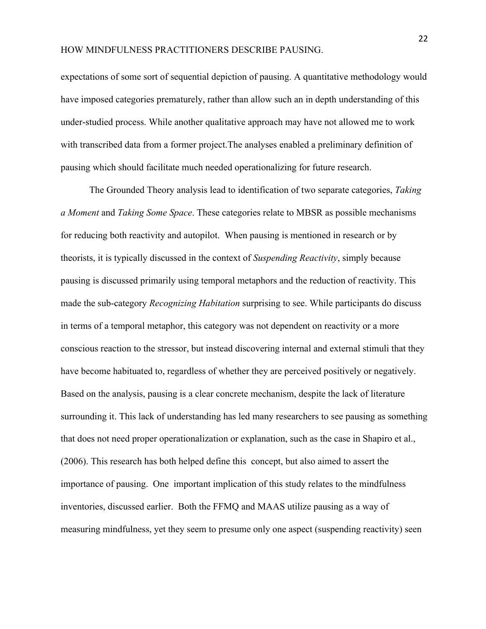expectations of some sort of sequential depiction of pausing. A quantitative methodology would have imposed categories prematurely, rather than allow such an in depth understanding of this under-studied process. While another qualitative approach may have not allowed me to work with transcribed data from a former project.The analyses enabled a preliminary definition of pausing which should facilitate much needed operationalizing for future research.

The Grounded Theory analysis lead to identification of two separate categories, *Taking a Moment* and *Taking Some Space*. These categories relate to MBSR as possible mechanisms for reducing both reactivity and autopilot. When pausing is mentioned in research or by theorists, it is typically discussed in the context of *Suspending Reactivity*, simply because pausing is discussed primarily using temporal metaphors and the reduction of reactivity. This made the sub-category *Recognizing Habitation* surprising to see. While participants do discuss in terms of a temporal metaphor, this category was not dependent on reactivity or a more conscious reaction to the stressor, but instead discovering internal and external stimuli that they have become habituated to, regardless of whether they are perceived positively or negatively. Based on the analysis, pausing is a clear concrete mechanism, despite the lack of literature surrounding it. This lack of understanding has led many researchers to see pausing as something that does not need proper operationalization or explanation, such as the case in Shapiro et al., (2006). This research has both helped define this concept, but also aimed to assert the importance of pausing. One important implication of this study relates to the mindfulness inventories, discussed earlier. Both the FFMQ and MAAS utilize pausing as a way of measuring mindfulness, yet they seem to presume only one aspect (suspending reactivity) seen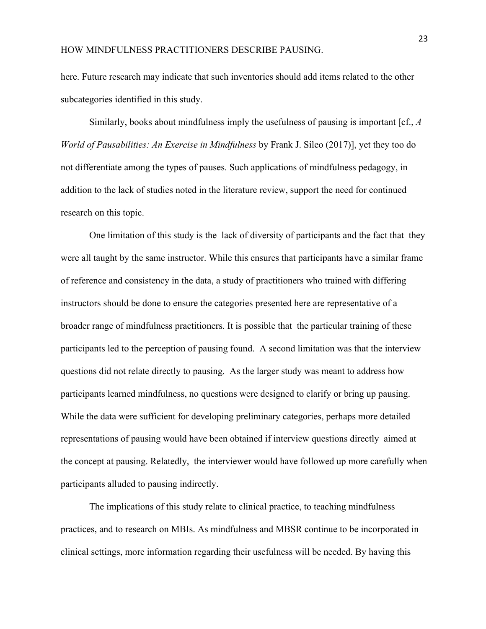here. Future research may indicate that such inventories should add items related to the other subcategories identified in this study.

Similarly, books about mindfulness imply the usefulness of pausing is important [cf., *A World of Pausabilities: An Exercise in Mindfulness* by Frank J. Sileo (2017)], yet they too do not differentiate among the types of pauses. Such applications of mindfulness pedagogy, in addition to the lack of studies noted in the literature review, support the need for continued research on this topic.

One limitation of this study is the lack of diversity of participants and the fact that they were all taught by the same instructor. While this ensures that participants have a similar frame of reference and consistency in the data, a study of practitioners who trained with differing instructors should be done to ensure the categories presented here are representative of a broader range of mindfulness practitioners. It is possible that the particular training of these participants led to the perception of pausing found. A second limitation was that the interview questions did not relate directly to pausing. As the larger study was meant to address how participants learned mindfulness, no questions were designed to clarify or bring up pausing. While the data were sufficient for developing preliminary categories, perhaps more detailed representations of pausing would have been obtained if interview questions directly aimed at the concept at pausing. Relatedly, the interviewer would have followed up more carefully when participants alluded to pausing indirectly.

The implications of this study relate to clinical practice, to teaching mindfulness practices, and to research on MBIs. As mindfulness and MBSR continue to be incorporated in clinical settings, more information regarding their usefulness will be needed. By having this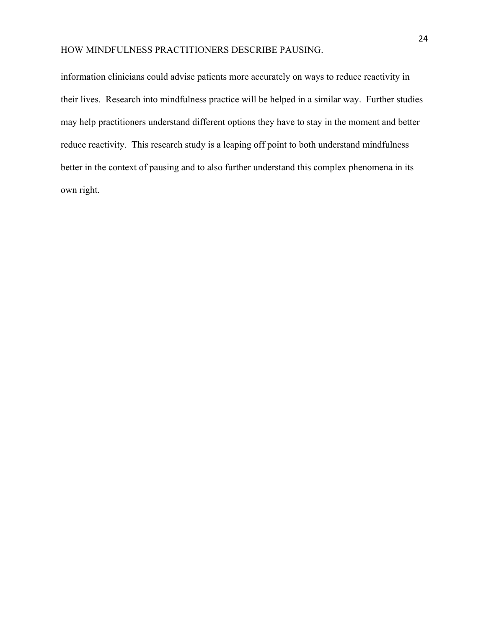information clinicians could advise patients more accurately on ways to reduce reactivity in their lives. Research into mindfulness practice will be helped in a similar way. Further studies may help practitioners understand different options they have to stay in the moment and better reduce reactivity. This research study is a leaping off point to both understand mindfulness better in the context of pausing and to also further understand this complex phenomena in its own right.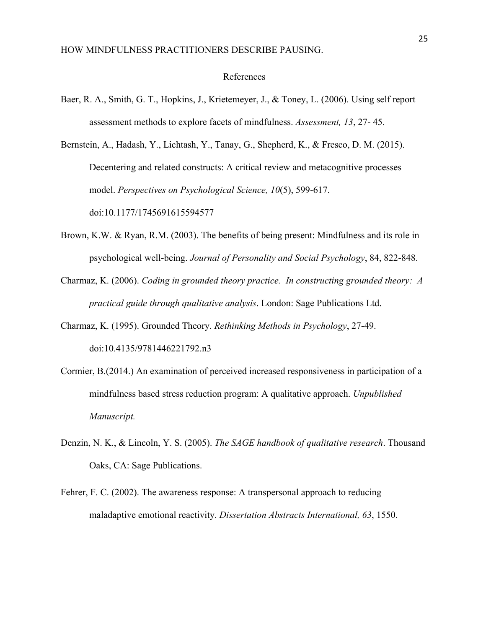#### References

- Baer, R. A., Smith, G. T., Hopkins, J., Krietemeyer, J., & Toney, L. (2006). Using self report assessment methods to explore facets of mindfulness. *Assessment, 13*, 27- 45.
- Bernstein, A., Hadash, Y., Lichtash, Y., Tanay, G., Shepherd, K., & Fresco, D. M. (2015). Decentering and related constructs: A critical review and metacognitive processes model. *Perspectives on Psychological Science, 10*(5), 599-617. doi:10.1177/1745691615594577
- Brown, K.W. & Ryan, R.M. (2003). The benefits of being present: Mindfulness and its role in psychological well-being. *Journal of Personality and Social Psychology*, 84, 822-848.
- Charmaz, K. (2006). *Coding in grounded theory practice. In constructing grounded theory: A practical guide through qualitative analysis*. London: Sage Publications Ltd.
- Charmaz, K. (1995). Grounded Theory. *Rethinking Methods in Psychology*, 27-49. doi:10.4135/9781446221792.n3
- Cormier, B.(2014.) An examination of perceived increased responsiveness in participation of a mindfulness based stress reduction program: A qualitative approach. *Unpublished Manuscript.*
- Denzin, N. K., & Lincoln, Y. S. (2005). *The SAGE handbook of qualitative research*. Thousand Oaks, CA: Sage Publications.
- Fehrer, F. C. (2002). The awareness response: A transpersonal approach to reducing maladaptive emotional reactivity. *Dissertation Abstracts International, 63*, 1550.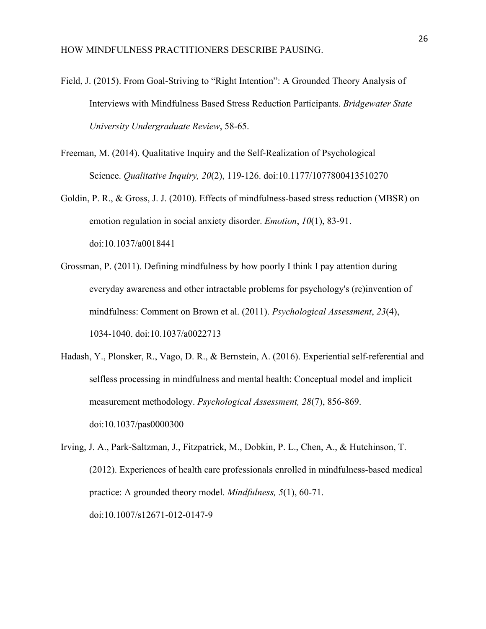- Field, J. (2015). From Goal-Striving to "Right Intention": A Grounded Theory Analysis of Interviews with Mindfulness Based Stress Reduction Participants. *Bridgewater State University Undergraduate Review*, 58-65.
- Freeman, M. (2014). Qualitative Inquiry and the Self-Realization of Psychological Science. *Qualitative Inquiry, 20*(2), 119-126. doi:10.1177/1077800413510270
- Goldin, P. R., & Gross, J. J. (2010). Effects of mindfulness-based stress reduction (MBSR) on emotion regulation in social anxiety disorder. *Emotion*, *10*(1), 83-91. doi:10.1037/a0018441
- Grossman, P. (2011). Defining mindfulness by how poorly I think I pay attention during everyday awareness and other intractable problems for psychology's (re)invention of mindfulness: Comment on Brown et al. (2011). *Psychological Assessment*, *23*(4), 1034-1040. doi:10.1037/a0022713
- Hadash, Y., Plonsker, R., Vago, D. R., & Bernstein, A. (2016). Experiential self-referential and selfless processing in mindfulness and mental health: Conceptual model and implicit measurement methodology. *Psychological Assessment, 28*(7), 856-869. doi:10.1037/pas0000300
- Irving, J. A., Park-Saltzman, J., Fitzpatrick, M., Dobkin, P. L., Chen, A., & Hutchinson, T. (2012). Experiences of health care professionals enrolled in mindfulness-based medical practice: A grounded theory model. *Mindfulness, 5*(1), 60-71. doi:10.1007/s12671-012-0147-9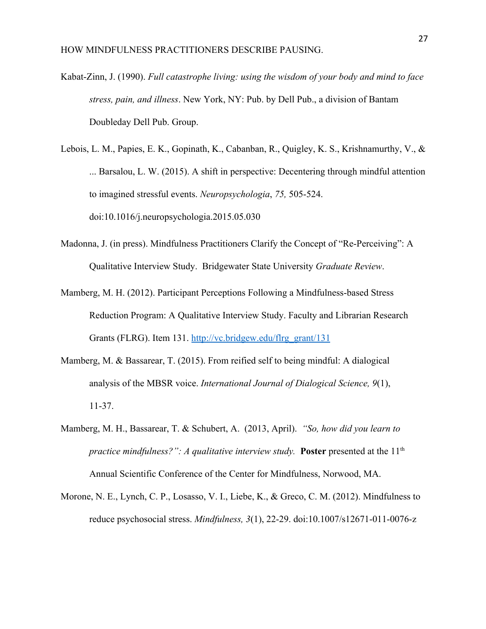- Kabat-Zinn, J. (1990). *Full catastrophe living: using the wisdom of your body and mind to face stress, pain, and illness*. New York, NY: Pub. by Dell Pub., a division of Bantam Doubleday Dell Pub. Group.
- Lebois, L. M., Papies, E. K., Gopinath, K., Cabanban, R., Quigley, K. S., Krishnamurthy, V., & ... Barsalou, L. W. (2015). A shift in perspective: Decentering through mindful attention to imagined stressful events. *Neuropsychologia*, *75,* 505-524. doi:10.1016/j.neuropsychologia.2015.05.030
- Madonna, J. (in press). Mindfulness Practitioners Clarify the Concept of "Re-Perceiving": A Qualitative Interview Study. Bridgewater State University *Graduate Review*.
- Mamberg, M. H. (2012). Participant Perceptions Following a Mindfulness-based Stress Reduction Program: A Qualitative Interview Study. Faculty and Librarian Research Grants (FLRG). Item 131. [http://vc.bridgew.edu/flrg\\_grant/131](http://vc.bridgew.edu/flrg_grant/131)
- Mamberg, M. & Bassarear, T. (2015). From reified self to being mindful: A dialogical analysis of the MBSR voice. *International Journal of Dialogical Science, 9*(1), 11-37.
- Mamberg, M. H., Bassarear, T. & Schubert, A. (2013, April). *"So, how did you learn to practice mindfulness?": A qualitative interview study.* **Poster** presented at the 11<sup>th</sup> Annual Scientific Conference of the Center for Mindfulness, Norwood, MA.
- Morone, N. E., Lynch, C. P., Losasso, V. I., Liebe, K., & Greco, C. M. (2012). Mindfulness to reduce psychosocial stress. *Mindfulness, 3*(1), 22-29. doi:10.1007/s12671-011-0076-z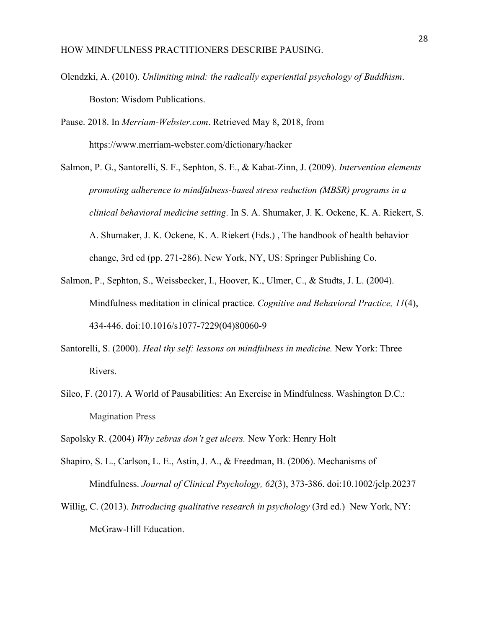- Olendzki, A. (2010). *Unlimiting mind: the radically experiential psychology of Buddhism*. Boston: Wisdom Publications.
- Pause. 2018. In *Merriam-Webster.com*. Retrieved May 8, 2018, from https://www.merriam-webster.com/dictionary/hacker
- Salmon, P. G., Santorelli, S. F., Sephton, S. E., & Kabat-Zinn, J. (2009). *Intervention elements promoting adherence to mindfulness-based stress reduction (MBSR) programs in a clinical behavioral medicine setting*. In S. A. Shumaker, J. K. Ockene, K. A. Riekert, S. A. Shumaker, J. K. Ockene, K. A. Riekert (Eds.) , The handbook of health behavior change, 3rd ed (pp. 271-286). New York, NY, US: Springer Publishing Co.
- Salmon, P., Sephton, S., Weissbecker, I., Hoover, K., Ulmer, C., & Studts, J. L. (2004). Mindfulness meditation in clinical practice. *Cognitive and Behavioral Practice, 11*(4), 434-446. doi:10.1016/s1077-7229(04)80060-9
- Santorelli, S. (2000). *Heal thy self: lessons on mindfulness in medicine.* New York: Three Rivers.
- Sileo, F. (2017). A World of Pausabilities: An Exercise in Mindfulness. Washington D.C.: Magination Press
- Sapolsky R. (2004) *Why zebras don't get ulcers.* New York: Henry Holt
- Shapiro, S. L., Carlson, L. E., Astin, J. A., & Freedman, B. (2006). Mechanisms of Mindfulness. *Journal of Clinical Psychology, 62*(3), 373-386. doi:10.1002/jclp.20237
- Willig, C. (2013). *Introducing qualitative research in psychology* (3rd ed.) New York, NY: McGraw-Hill Education.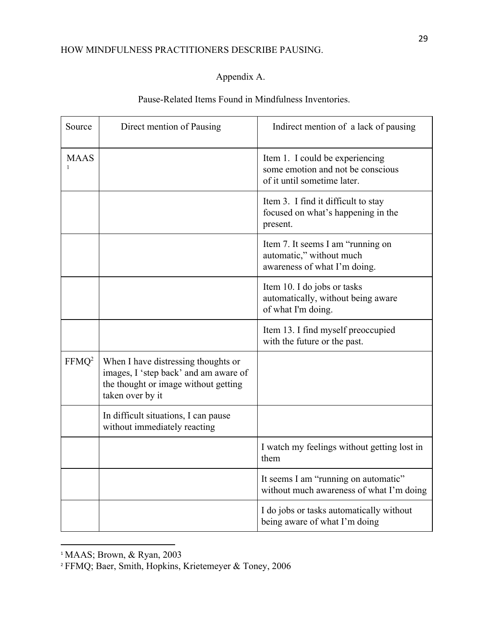# Appendix A.

# Pause-Related Items Found in Mindfulness Inventories.

| Source            | Direct mention of Pausing                                                                                                                | Indirect mention of a lack of pausing                                                               |
|-------------------|------------------------------------------------------------------------------------------------------------------------------------------|-----------------------------------------------------------------------------------------------------|
| <b>MAAS</b>       |                                                                                                                                          | Item 1. I could be experiencing<br>some emotion and not be conscious<br>of it until sometime later. |
|                   |                                                                                                                                          | Item 3. I find it difficult to stay<br>focused on what's happening in the<br>present.               |
|                   |                                                                                                                                          | Item 7. It seems I am "running on<br>automatic," without much<br>awareness of what I'm doing.       |
|                   |                                                                                                                                          | Item 10. I do jobs or tasks<br>automatically, without being aware<br>of what I'm doing.             |
|                   |                                                                                                                                          | Item 13. I find myself preoccupied<br>with the future or the past.                                  |
| FFMQ <sup>2</sup> | When I have distressing thoughts or<br>images, I 'step back' and am aware of<br>the thought or image without getting<br>taken over by it |                                                                                                     |
|                   | In difficult situations, I can pause<br>without immediately reacting                                                                     |                                                                                                     |
|                   |                                                                                                                                          | I watch my feelings without getting lost in<br>them                                                 |
|                   |                                                                                                                                          | It seems I am "running on automatic"<br>without much awareness of what I'm doing                    |
|                   |                                                                                                                                          | I do jobs or tasks automatically without<br>being aware of what I'm doing                           |

<sup>&</sup>lt;sup>1</sup> MAAS; Brown, & Ryan, 2003

<sup>2</sup> FFMQ; Baer, Smith, Hopkins, Krietemeyer & Toney, 2006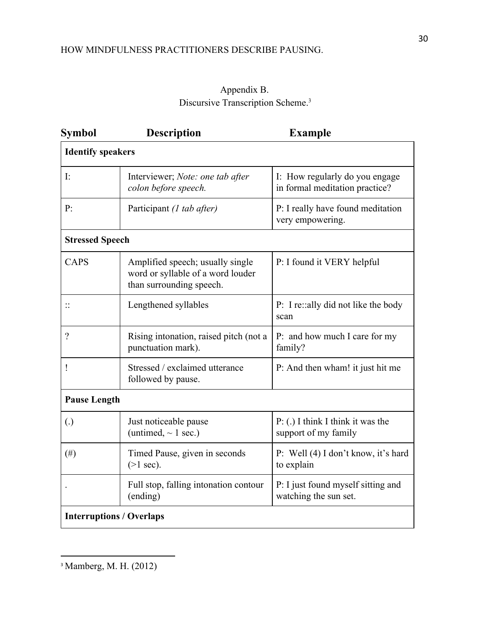# Appendix B. Discursive Transcription Scheme.<sup>3</sup>

| <b>Symbol</b>                   | <b>Description</b>                                                                                | <b>Example</b>                                                   |  |  |
|---------------------------------|---------------------------------------------------------------------------------------------------|------------------------------------------------------------------|--|--|
| <b>Identify speakers</b>        |                                                                                                   |                                                                  |  |  |
| $\mathbf{I}$ :                  | Interviewer; Note: one tab after<br>colon before speech.                                          | I: How regularly do you engage<br>in formal meditation practice? |  |  |
| P:                              | Participant (1 tab after)                                                                         | P: I really have found meditation<br>very empowering.            |  |  |
| <b>Stressed Speech</b>          |                                                                                                   |                                                                  |  |  |
| <b>CAPS</b>                     | Amplified speech; usually single<br>word or syllable of a word louder<br>than surrounding speech. | P: I found it VERY helpful                                       |  |  |
|                                 | Lengthened syllables                                                                              | P: I re:: ally did not like the body<br>scan                     |  |  |
| $\gamma$                        | Rising intonation, raised pitch (not a<br>punctuation mark).                                      | P: and how much I care for my<br>family?                         |  |  |
| ļ                               | Stressed / exclaimed utterance<br>followed by pause.                                              | P: And then wham! it just hit me                                 |  |  |
| <b>Pause Length</b>             |                                                                                                   |                                                                  |  |  |
| $\left( .\right)$               | Just noticeable pause<br>(untimed, $\sim$ 1 sec.)                                                 | $P: (.)$ I think I think it was the<br>support of my family      |  |  |
| (# )                            | Timed Pause, given in seconds<br>$(>1$ sec).                                                      | P: Well (4) I don't know, it's hard<br>to explain                |  |  |
|                                 | Full stop, falling intonation contour<br>(ending)                                                 | P: I just found myself sitting and<br>watching the sun set.      |  |  |
| <b>Interruptions / Overlaps</b> |                                                                                                   |                                                                  |  |  |

<sup>3</sup> Mamberg, M. H. (2012)